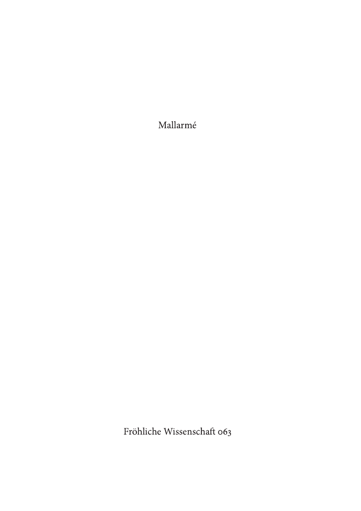Mallarmé

Fröhliche Wissenschaft 063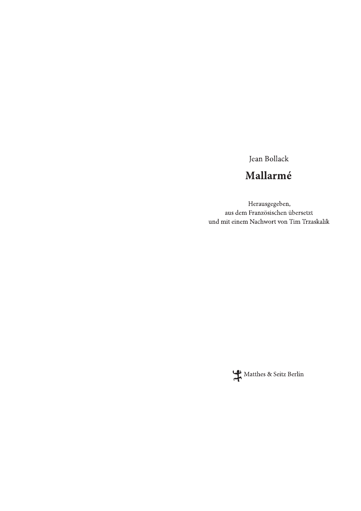Jean Bollack

# Mallarmé

Herausgegeben, aus dem Französischen übersetzt und mit einem Nachwort von Tim Trzaskalik

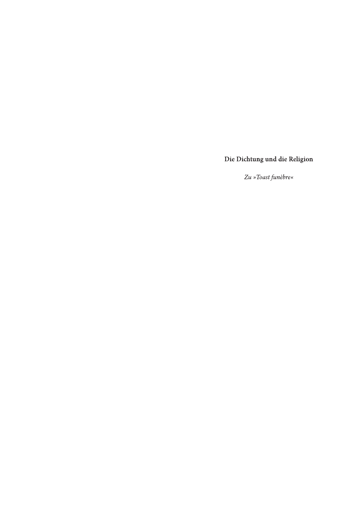# Die Dichtung und die Religion

Zu »Toast funèbre«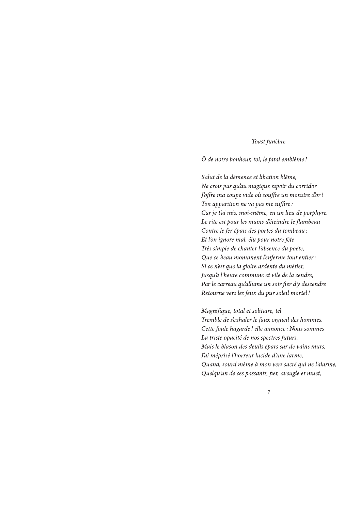## Toast funèbre

Ô de notre bonheur, toi, le fatal emblème!

Salut de la démence et libation blême, Ne crois pas qu'au magique espoir du corridor l'offre ma coupe vide où souffre un monstre d'or! Ton apparition ne va pas me suffire : Car je t'ai mis, moi-même, en un lieu de porphyre. Le rite est pour les mains d'éteindre le flambeau Contre le fer épais des portes du tombeau : Et l'on ignore mal, élu pour notre fête Très simple de chanter l'absence du poëte, Que ce beau monument l'enferme tout entier : Si ce n'est que la gloire ardente du métier, Jusqu'à l'heure commune et vile de la cendre, Par le carreau qu'allume un soir fier d'y descendre Retourne vers les feux du pur soleil mortel!

Magnifique, total et solitaire, tel Tremble de s'exhaler le faux orgueil des hommes. Cette foule hagarde ! elle annonce : Nous sommes La triste opacité de nos spectres futurs. Mais le blason des deuils épars sur de vains murs, J'ai méprisé l'horreur lucide d'une larme, Quand, sourd même à mon vers sacré qui ne l'alarme, Quelqu'un de ces passants, fier, aveugle et muet,

 $\overline{7}$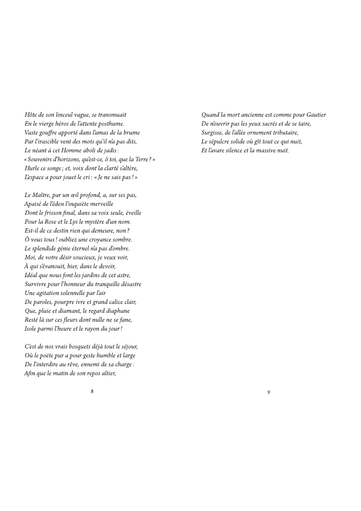Hôte de son linceul vague, se transmuait En le vierge héros de l'attente posthume. Vaste gouffre apporté dans l'amas de la brume Par l'irascible vent des mots qu'il n'a pas dits, Le néant à cet Homme aboli de jadis : « Souvenirs d'horizons, qu'est-ce, ô toi, que la Terre ? » Hurle ce songe; et, voix dont la clarté s'altère, L'espace a pour jouet le cri : « Je ne sais pas ! »

Le Maître, par un œil profond, a, sur ses pas, Apaisé de l'éden l'inquiète merveille Dont le frisson final, dans sa voix seule, éveille Pour la Rose et le Lys le mystère d'un nom. Est-il de ce destin rien qui demeure, non? Ô vous tous! oubliez une croyance sombre. Le splendide génie éternel n'a pas d'ombre. Moi, de votre désir soucieux, je veux voir, À qui s'évanouit, hier, dans le devoir, Idéal que nous font les jardins de cet astre, Survivre pour l'honneur du tranquille désastre Une agitation solennelle par l'air De paroles, pourpre ivre et grand calice clair, Que, pluie et diamant, le regard diaphane Resté là sur ces fleurs dont nulle ne se fane, Isole parmi l'heure et le rayon du jour!

C'est de nos vrais bosquets déjà tout le séjour, Où le poëte pur a pour geste humble et large De l'interdire au rêve, ennemi de sa charge : Afin que le matin de son repos altier,

Quand la mort ancienne est comme pour Gautier De n'ouvrir pas les yeux sacrés et de se taire, Surgisse, de l'allée ornement tributaire, Le sépulcre solide où gît tout ce qui nuit, Et l'avare silence et la massive nuit.

8

 $\overline{9}$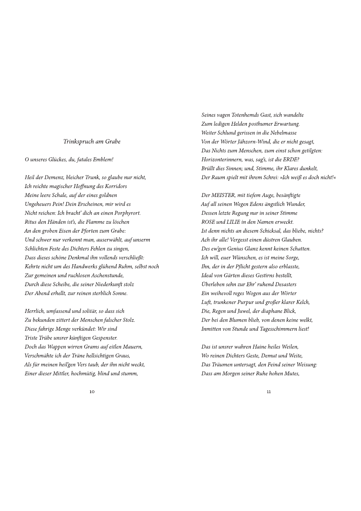#### Trinkspruch am Grabe

O unseres Glückes, du, fatales Emblem!

Heil der Demenz, bleicher Trunk, so glaube nur nicht, Ich reichte magischer Hoffnung des Korridors Meine leere Schale, auf der eines goldnen Ungeheuers Pein! Dein Erscheinen, mir wird es Nicht reichen: Ich bracht' dich an einen Porphyrort. Ritus den Händen ist's, die Flamme zu löschen An den groben Eisen der Pforten zum Grabe: Und schwer nur verkennt man, auserwählt, auf unserm Schlichten Feste des Dichters Fehlen zu singen, Dass dieses schöne Denkmal ihn vollends verschließt: Kehrte nicht um des Handwerks glühend Ruhm, selbst noch Zur gemeinen und ruchlosen Aschenstunde, Durch diese Scheibe, die seiner Niederkunft stolz Der Abend erhellt, zur reinen sterblich Sonne.

Herrlich, umfassend und solitär, so dass sich Zu bekunden zittert der Menschen falscher Stolz. Diese fahrige Menge verkündet: Wir sind Triste Trübe unsrer künftigen Gespenster. Doch das Wappen wirren Grams auf eitlen Mauern, Verschmähte ich der Träne hellsichtigen Graus, Als für meinen heil'gen Vers taub, der ihn nicht weckt, Einer dieser Mittler, hochmütig, blind und stumm,

Seines vagen Totenhemds Gast, sich wandelte Zum ledigen Helden posthumer Erwartung. Weiter Schlund gerissen in die Nebelmasse Von der Wörter Jähzorn-Wind, die er nicht gesagt, Das Nichts zum Menschen, zum einst schon getilgten: Horizonterinnern, was, sag's, ist die ERDE? Brüllt dies Sinnen; und, Stimme, ihr Klares dunkelt, Der Raum spielt mit ihrem Schrei: »Ich weiß es doch nicht!«

Der MEISTER, mit tiefem Auge, besänftigte Auf all seinen Wegen Edens ängstlich Wunder, Dessen letzte Regung nur in seiner Stimme ROSE und LILIE in den Namen erweckt. Ist denn nichts an diesem Schicksal, das bliebe, nichts? Ach ihr alle! Vergesst einen düstren Glauben. Des ew'gen Genius Glanz kennt keinen Schatten. Ich will, euer Wünschen, es ist meine Sorge, Ihn, der in der Pflicht gestern also erblasste, Ideal von Gärten dieses Gestirns bestellt, Überleben sehn zur Ehr' ruhend Desasters Ein weihevoll reges Wogen aus der Wörter Luft, trunkener Purpur und großer klarer Kelch, Die, Regen und Juwel, der diaphane Blick, Der bei den Blumen blieb, von denen keine welkt, Inmitten von Stunde und Tagesschimmern liest!

Das ist unsrer wahren Haine heiles Weilen, Wo reinen Dichters Geste, Demut und Weite, Das Träumen untersagt, den Feind seiner Weisung: Dass am Morgen seiner Ruhe hohen Mutes,

 $10$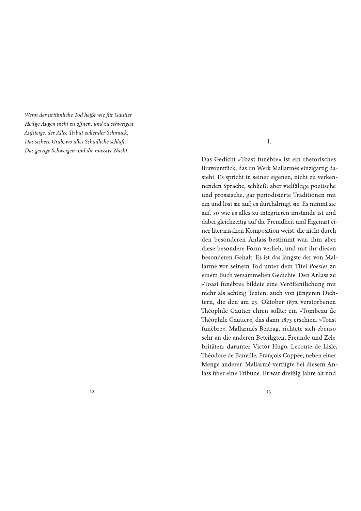Wenn der urtümliche Tod heißt wie für Gautier Heil'ge Augen nicht zu öffnen, und zu schweigen, Aufsteige, der Allee Tribut zollender Schmuck, Das sichere Grab, wo alles Schädliche schläft, Das geizige Schweigen und die massive Nacht.

I.

Das Gedicht »Toast funébre« ist ein rhetorisches Bravourstuck, das im Werk Mallarmés einzigartig dasteht. Es spricht in seiner eigenen, nicht zu verken-I.<br>Das Gedicht »Toast funèbre«<br>Bravourstück, das im Werk Mall<br>steht. Es spricht in seiner eiger<br>nenden Sprache, schließt aber<br>und prosaische, gar periodisie<br>ein und löst sie auf; es durchdri<br>auf, so wie es alles zu integri nenden Sprache, schließt aber vielfältige poetische und prosaische, gar periodisierte Traditionen mit ein und lost sie auf; es durchdringt sie. . <sup>1.</sup><br>
»Toast funèbre« ist ein rhetorisches<br>
das im Werk Mallarmés einzigartig da-<br>
ht in seiner eigenen, nicht zu verken-<br>
he, schließt aber vielfältige poetische<br>
he, gar periodisierte Traditionen mit<br>
ie auf; es durchdri auf, so wie es alles zu integrieren imstande ist und dabei gleichzeitig auf die Fremdheit und Eigenart eiroast runebre« ist ein rnetorisches<br>as im Werk Mallarmés einzigartig da-<br>t in seiner eigenen, nicht zu verken-<br>e, schließt aber vielfältige poetische<br>, gar periodisierte Traditionen mit<br>auf; es durchdringt sie. Es nimmt si ner literarischen Komposition weist, die nicht durch den besonderen Anlass bestimmt war, ihm aber diese besondere Form verlieh, und mit ihr diesen besonderen Gehalt. Es ist das langste der von Maluna prosaische, gar periodisierte Traditione<br>ein und löst sie auf; es durchdringt sie. Es nim<br>auf, so wie es alles zu integrieren imstande is<br>dabei gleichzeitig auf die Fremdheit und Eiger<br>ner literarischen Komposition wei larmé vor seinem Tod unter dem Titel *Poèsies* zu einem Buch versammelten Gedichte. Den Anlass zu »Toast funebre« bildete eine Veröffentlichung mit mehr als achtzig Texten, auch von jungeren Dichtern, die den am 23. Oktober 1872 verstorbenen Théophile Gautier ehren sollte: ein »Tombeau de Théophile Gautier«, das dann 1873 erschien. »Toast funébre«, Mallarmés Beitrag, richtete sich ebenso sehr an die anderen Beteiligten, Freunde und Zelebritaten, darunter Victor Hugo, Leconte de Lisle, Théodore de Banville, François Coppée, neben einer Menge anderer. Mallarmé verfugte bei diesem Anlass uber eine Tribune. Er war dreißig Jahre alt und Ineophile Gautier enren solite: ein » fombeau<br>Théophile Gautier«, das dann 1873 erschien. »To<br>funèbre«, Mallarmés Beitrag, richtete sich eber<br>sehr an die anderen Beteiligten, Freunde und Z<br>britäten, darunter Victor Hugo, L

 $12$  and  $13$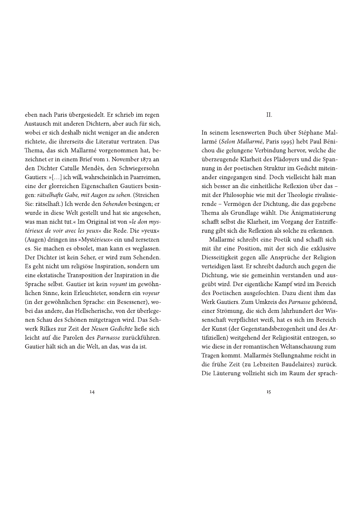eben nach Paris übergesiedelt. Er schrieb im regen Austausch mit anderen Dichtern, aber auch für sich, wobei er sich deshalb nicht weniger an die anderen richtete, die ihrerseits die Literatur vertraten. Das Thema, das sich Mallarmé vorgenommen hat, bezeichnet er in einem Brief vom 1. November 1872 an den Dichter Catulle Mendès, den Schwiegersohn Gautiers: »[...] ich will, wahrscheinlich in Paarreimen, eine der glorreichen Eigenschaften Gautiers besingen: rätselhafte Gabe, mit Augen zu sehen. (Streichen Sie: rätselhaft.) Ich werde den Sehenden besingen; er wurde in diese Welt gestellt und hat sie angesehen, was man nicht tut.« Im Original ist von »le don mystérieux de voir avec les yeux« die Rede. Die »yeux« (Augen) dringen ins »Mystérieux« ein und zersetzen es. Sie machen es obsolet, man kann es weglassen. Der Dichter ist kein Seher, er wird zum Sehenden. Es geht nicht um religiöse Inspiration, sondern um eine ekstatische Transposition der Inspiration in die Sprache selbst. Gautier ist kein voyant im gewöhnlichen Sinne, kein Erleuchteter, sondern ein voyeur (in der gewöhnlichen Sprache: ein Besessener), wobei das andere, das Hellseherische, von der überlegenen Schau des Schönen mitgetragen wird. Das Sehwerk Rilkes zur Zeit der Neuen Gedichte ließe sich leicht auf die Parolen des Parnasse zurückführen. Gautier hält sich an die Welt, an das, was da ist.

Π.

In seinem lesenswerten Buch über Stéphane Mallarmé (Selon Mallarmé, Paris 1995) hebt Paul Bénichou die gelungene Verbindung hervor, welche die überzeugende Klarheit des Plädoyers und die Spannung in der poetischen Struktur im Gedicht miteinander eingegangen sind. Doch vielleicht hält man sich besser an die einheitliche Reflexion über dasmit der Philosophie wie mit der Theologie rivalisierende – Vermögen der Dichtung, die das gegebene Thema als Grundlage wählt. Die Änigmatisierung schafft selbst die Klarheit, im Vorgang der Entzifferung gibt sich die Reflexion als solche zu erkennen.

Mallarmé schreibt eine Poetik und schafft sich mit ihr eine Position, mit der sich die exklusive Diesseitigkeit gegen alle Ansprüche der Religion verteidigen lässt. Er schreibt dadurch auch gegen die Dichtung, wie sie gemeinhin verstanden und ausgeübt wird. Der eigentliche Kampf wird im Bereich des Poetischen ausgefochten. Dazu dient ihm das Werk Gautiers. Zum Umkreis des Parnasse gehörend, einer Strömung, die sich dem Jahrhundert der Wissenschaft verpflichtet weiß, hat es sich im Bereich der Kunst (der Gegenstandsbezogenheit und des Artifiziellen) weitgehend der Religiosität entzogen, so wie diese in der romantischen Weltanschauung zum Tragen kommt. Mallarmés Stellungnahme reicht in die frühe Zeit (zu Lebzeiten Baudelaires) zurück. Die Läuterung vollzieht sich im Raum der sprach-

15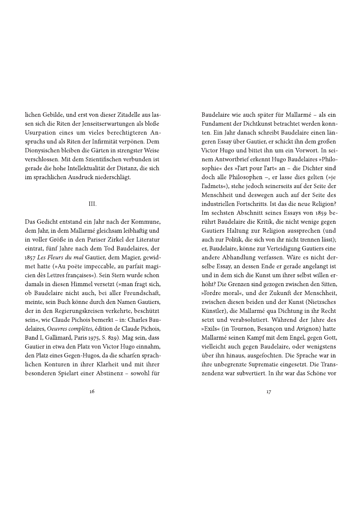lichen Gebilde, und erst von dieser Zitadelle aus lassen sich die Riten der Jenseitserwartungen als bloße Usurpation eines um vieles berechtigteren Anspruchs und als Riten der Infirmität verpönen. Dem Dionysischen bleiben die Gärten in strengster Weise verschlossen. Mit dem Szientifischen verbunden ist gerade die hohe Intellektualität der Distanz, die sich im sprachlichen Ausdruck niederschlägt.

# III.

Das Gedicht entstand ein Jahr nach der Kommune, dem Jahr, in dem Mallarmé gleichsam leibhaftig und in voller Größe in den Pariser Zirkel der Literatur eintrat, fünf Jahre nach dem Tod Baudelaires, der 1857 Les Fleurs du mal Gautier, dem Magier, gewidmet hatte (»Au poëte impeccable, au parfait magicien dès Lettres françaises«). Sein Stern wurde schon damals in diesen Himmel versetzt (»man fragt sich, ob Baudelaire nicht auch, bei aller Freundschaft, meinte, sein Buch könne durch den Namen Gautiers, der in den Regierungskreisen verkehrte, beschützt sein«, wie Claude Pichois bemerkt - in: Charles Baudelaires, Oeuvres complètes, édition de Claude Pichois, Band I, Gallimard, Paris 1975, S. 829). Mag sein, dass Gautier in etwa den Platz von Victor Hugo einnahm, den Platz eines Gegen-Hugos, da die scharfen sprachlichen Konturen in ihrer Klarheit und mit ihrer besonderen Spielart einer Abstinenz - sowohl für

16

Baudelaire wie auch später für Mallarmé - als ein Fundament der Dichtkunst betrachtet werden konnten. Ein Jahr danach schreibt Baudelaire einen längeren Essay über Gautier, er schickt ihn dem großen Victor Hugo und bittet ihn um ein Vorwort. In seinem Antwortbrief erkennt Hugo Baudelaires »Philosophie« des »l'art pour l'art« an - die Dichter sind doch alle Philosophen -, er lasse dies gelten (»je l'admets«), stehe jedoch seinerseits auf der Seite der Menschheit und deswegen auch auf der Seite des industriellen Fortschritts. Ist das die neue Religion? Im sechsten Abschnitt seines Essays von 1859 berührt Baudelaire die Kritik, die nicht wenige gegen Gautiers Haltung zur Religion aussprechen (und auch zur Politik, die sich von ihr nicht trennen lässt); er, Baudelaire, könne zur Verteidigung Gautiers eine andere Abhandlung verfassen. Wäre es nicht derselbe Essay, an dessen Ende er gerade angelangt ist und in dem sich die Kunst um ihrer selbst willen erhöht? Die Grenzen sind gezogen zwischen den Sitten, »l'ordre moral«, und der Zukunft der Menschheit, zwischen diesen beiden und der Kunst (Nietzsches Künstler), die Mallarmé qua Dichtung in ihr Recht setzt und verabsolutiert. Während der Jahre des »Exils« (in Tournon, Besançon und Avignon) hatte Mallarmé seinen Kampf mit dem Engel, gegen Gott, vielleicht auch gegen Baudelaire, oder wenigstens über ihn hinaus, ausgefochten. Die Sprache war in ihre unbegrenzte Suprematie eingesetzt. Die Transzendenz war subvertiert. In ihr war das Schöne vor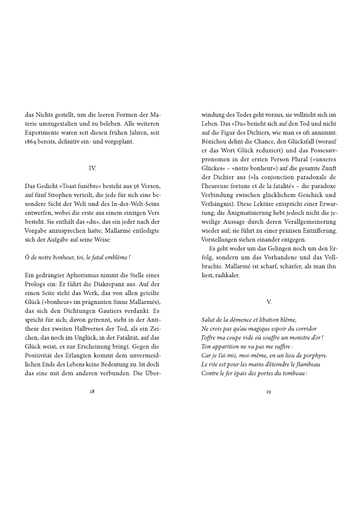das Nichts gestellt, um die leeren Formen der Materie umzugestalten und zu beleben. Alle weiteren Experimente waren seit diesen frühen Jahren, seit 1864 bereits, definitiv ein- und vorgeplant.

#### IV.

Das Gedicht »Toast funèbre« besteht aus 56 Versen, auf fünf Strophen verteilt, die jede für sich eine besondere Sicht der Welt und des In-der-Welt-Seins entwerfen, wobei die erste aus einem einzigen Vers besteht. Sie enthält das »du«, das ein jeder nach der Vorgabe anzusprechen hatte; Mallarmé entledigte sich der Aufgabe auf seine Weise:

## Ô de notre bonheur, toi, le fatal emblème !

Ein gedrängter Aphorismus nimmt die Stelle eines Prologs ein: Er führt die Diskrepanz aus. Auf der einen Seite steht das Werk, das von allen geteilte Glück (»bonheur« im prägnanten Sinne Mallarmés), das sich den Dichtungen Gautiers verdankt. Es spricht für sich; davon getrennt, steht in der Antithese des zweiten Halbverses der Tod, als ein Zeichen, das noch im Unglück, in der Fatalität, auf das Glück weist, es zur Erscheinung bringt. Gegen die Positivität des Erlangten kommt dem unvermeidlichen Ende des Lebens keine Bedeutung zu. Ist doch das eine mit dem anderen verbunden. Die Über-

 $18$ 

windung des Todes geht voraus, sie vollzieht sich im Leben. Das »Du« bezieht sich auf den Tod und nicht auf die Figur des Dichters, wie man es oft annimmt. Bénichou dehnt die Chance, den Glücksfall (worauf er das Wort Glück reduziert) und das Possessivpronomen in der ersten Person Plural (»unseres Glückes« – »notre bonheur«) auf die gesamte Zunft der Dichter aus (»la conjonction paradoxale de l'heureuse fortune et de la fatalité« - die paradoxe Verbindung zwischen glücklichem Geschick und Verhängnis). Diese Lektüre entspricht einer Erwartung; die Änigmatisierung hebt jedoch nicht die jeweilige Aussage durch deren Verallgemeinerung wieder auf; sie führt zu einer präzisen Entzifferung. Vorstellungen stehen einander entgegen.

Es geht weder um das Gelingen noch um den Erfolg, sondern um das Vorhandene und das Vollbrachte. Mallarmé ist scharf, schärfer, als man ihn liest, radikaler.

V.

Salut de la démence et libation blême, Ne crois pas qu'au magique espoir du corridor l'offre ma coupe vide où souffre un monstre d'or! Ton apparition ne va pas me suffire : Car je t'ai mis, moi-même, en un lieu de porphyre. Le rite est pour les mains d'éteindre le flambeau Contre le fer épais des portes du tombeau :